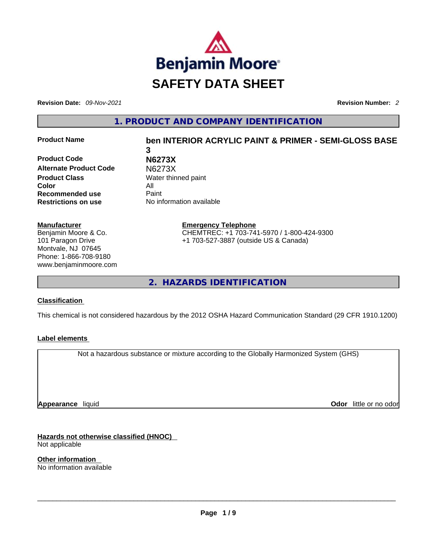

**Revision Date:** *09-Nov-2021* **Revision Number:** *2*

**1. PRODUCT AND COMPANY IDENTIFICATION** 

**Product Code N6273X Alternate Product Code** N6273X **Product Class Water thinned paint Color** All **Recommended use** Paint

# **Product Name ben INTERIOR ACRYLIC PAINT & PRIMER - SEMI-GLOSS BASE 3**

**Restrictions on use** No information available

**Manufacturer** Benjamin Moore & Co. 101 Paragon Drive Montvale, NJ 07645 Phone: 1-866-708-9180 www.benjaminmoore.com **Emergency Telephone** CHEMTREC: +1 703-741-5970 / 1-800-424-9300 +1 703-527-3887 (outside US & Canada)

**2. HAZARDS IDENTIFICATION** 

### **Classification**

This chemical is not considered hazardous by the 2012 OSHA Hazard Communication Standard (29 CFR 1910.1200)

### **Label elements**

Not a hazardous substance or mixture according to the Globally Harmonized System (GHS)

**Appearance** liquid

**Odor** little or no odor

**Hazards not otherwise classified (HNOC)**  Not applicable

**Other information**  No information available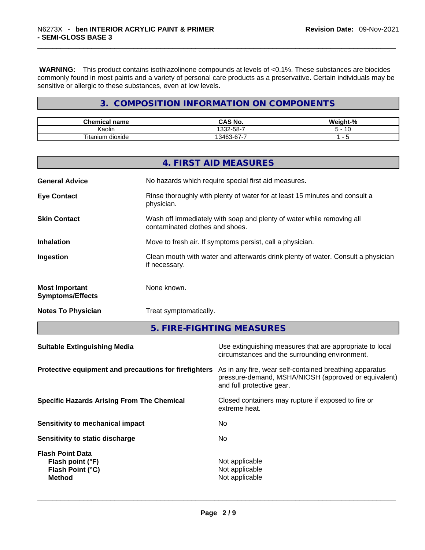**WARNING:** This product contains isothiazolinone compounds at levels of <0.1%. These substances are biocides commonly found in most paints and a variety of personal care products as a preservative. Certain individuals may be sensitive or allergic to these substances, even at low levels.

# **3. COMPOSITION INFORMATION ON COMPONENTS**

| <b>Chemical name</b>       | <b>CAS No.</b>                                  | <b>Weigh</b><br>iaht-% |
|----------------------------|-------------------------------------------------|------------------------|
| Kaolin                     | $\sim$ $\sim$<br>.332-58-1                      | -                      |
| <b>Titanium</b><br>dioxide | $\sim$ $\sim$ $\sim$<br>13463.<br>$53 - 67 - 1$ | -                      |

|                                                  | <b>4. FIRST AID MEASURES</b>                                                                             |
|--------------------------------------------------|----------------------------------------------------------------------------------------------------------|
| <b>General Advice</b>                            | No hazards which require special first aid measures.                                                     |
| <b>Eye Contact</b>                               | Rinse thoroughly with plenty of water for at least 15 minutes and consult a<br>physician.                |
| <b>Skin Contact</b>                              | Wash off immediately with soap and plenty of water while removing all<br>contaminated clothes and shoes. |
| <b>Inhalation</b>                                | Move to fresh air. If symptoms persist, call a physician.                                                |
| Ingestion                                        | Clean mouth with water and afterwards drink plenty of water. Consult a physician<br>if necessary.        |
| <b>Most Important</b><br><b>Symptoms/Effects</b> | None known.                                                                                              |
| <b>Notes To Physician</b>                        | Treat symptomatically.                                                                                   |

**5. FIRE-FIGHTING MEASURES** 

| <b>Suitable Extinguishing Media</b>                                              | Use extinguishing measures that are appropriate to local<br>circumstances and the surrounding environment.                                   |
|----------------------------------------------------------------------------------|----------------------------------------------------------------------------------------------------------------------------------------------|
| Protective equipment and precautions for firefighters                            | As in any fire, wear self-contained breathing apparatus<br>pressure-demand, MSHA/NIOSH (approved or equivalent)<br>and full protective gear. |
| <b>Specific Hazards Arising From The Chemical</b>                                | Closed containers may rupture if exposed to fire or<br>extreme heat.                                                                         |
| Sensitivity to mechanical impact                                                 | No.                                                                                                                                          |
| Sensitivity to static discharge                                                  | No.                                                                                                                                          |
| <b>Flash Point Data</b><br>Flash point (°F)<br>Flash Point (°C)<br><b>Method</b> | Not applicable<br>Not applicable<br>Not applicable                                                                                           |
|                                                                                  |                                                                                                                                              |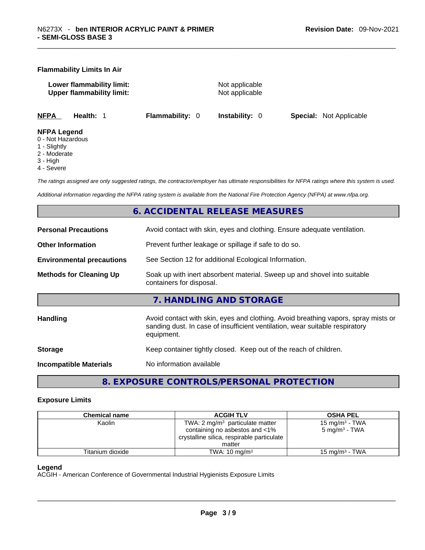#### **Flammability Limits In Air**

**Lower flammability limit:** Not applicable **Upper flammability limit:** Not applicable

**NFPA Health:** 1 **Flammability:** 0 **Instability:** 0 **Special:** Not Applicable

#### **NFPA Legend**

- 0 Not Hazardous
- 1 Slightly
- 2 Moderate
- 3 High
- 4 Severe

*The ratings assigned are only suggested ratings, the contractor/employer has ultimate responsibilities for NFPA ratings where this system is used.* 

*Additional information regarding the NFPA rating system is available from the National Fire Protection Agency (NFPA) at www.nfpa.org.* 

## **6. ACCIDENTAL RELEASE MEASURES**

| <b>Personal Precautions</b>      | Avoid contact with skin, eyes and clothing. Ensure adequate ventilation.                                                                                                         |  |  |
|----------------------------------|----------------------------------------------------------------------------------------------------------------------------------------------------------------------------------|--|--|
| <b>Other Information</b>         | Prevent further leakage or spillage if safe to do so.                                                                                                                            |  |  |
| <b>Environmental precautions</b> | See Section 12 for additional Ecological Information.                                                                                                                            |  |  |
| <b>Methods for Cleaning Up</b>   | Soak up with inert absorbent material. Sweep up and shovel into suitable<br>containers for disposal.                                                                             |  |  |
|                                  | 7. HANDLING AND STORAGE                                                                                                                                                          |  |  |
| Handling                         | Avoid contact with skin, eyes and clothing. Avoid breathing vapors, spray mists or<br>sanding dust. In case of insufficient ventilation, wear suitable respiratory<br>equipment. |  |  |
| <b>Storage</b>                   | Keep container tightly closed. Keep out of the reach of children.                                                                                                                |  |  |
|                                  |                                                                                                                                                                                  |  |  |

# **8. EXPOSURE CONTROLS/PERSONAL PROTECTION**

#### **Exposure Limits**

| <b>Chemical name</b> | <b>ACGIH TLV</b>                           | <b>OSHA PEL</b>            |
|----------------------|--------------------------------------------|----------------------------|
| Kaolin               | TWA: $2 \text{ mg/m}^3$ particulate matter | 15 mg/m <sup>3</sup> - TWA |
|                      | containing no asbestos and <1%             | 5 mg/m <sup>3</sup> - TWA  |
|                      | crystalline silica, respirable particulate |                            |
|                      | matter                                     |                            |
| Titanium dioxide     | TWA: $10 \text{ mg/m}^3$                   | 15 mg/m <sup>3</sup> - TWA |

#### **Legend**

ACGIH - American Conference of Governmental Industrial Hygienists Exposure Limits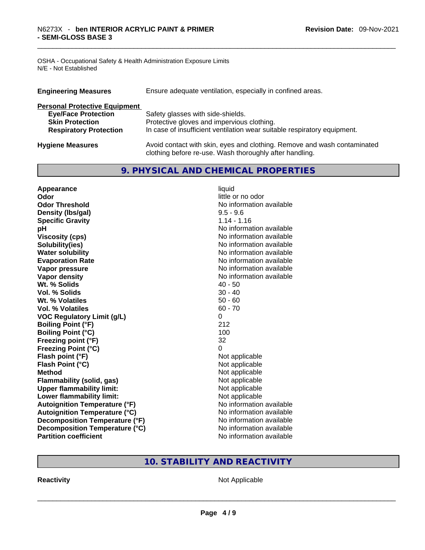OSHA - Occupational Safety & Health Administration Exposure Limits N/E - Not Established

| <b>Engineering Measures</b>          | Ensure adequate ventilation, especially in confined areas.                                                                          |
|--------------------------------------|-------------------------------------------------------------------------------------------------------------------------------------|
| <b>Personal Protective Equipment</b> |                                                                                                                                     |
| <b>Eye/Face Protection</b>           | Safety glasses with side-shields.                                                                                                   |
| <b>Skin Protection</b>               | Protective gloves and impervious clothing.                                                                                          |
| <b>Respiratory Protection</b>        | In case of insufficient ventilation wear suitable respiratory equipment.                                                            |
| <b>Hygiene Measures</b>              | Avoid contact with skin, eyes and clothing. Remove and wash contaminated<br>clothing before re-use. Wash thoroughly after handling. |

# **9. PHYSICAL AND CHEMICAL PROPERTIES**

| Appearance                            | liquid                   |
|---------------------------------------|--------------------------|
| Odor                                  | little or no odor        |
| <b>Odor Threshold</b>                 | No information available |
| Density (Ibs/gal)                     | $9.5 - 9.6$              |
| <b>Specific Gravity</b>               | $1.14 - 1.16$            |
| рH                                    | No information available |
| <b>Viscosity (cps)</b>                | No information available |
| Solubility(ies)                       | No information available |
| <b>Water solubility</b>               | No information available |
| <b>Evaporation Rate</b>               | No information available |
| Vapor pressure                        | No information available |
| Vapor density                         | No information available |
| Wt. % Solids                          | $40 - 50$                |
| Vol. % Solids                         | $30 - 40$                |
| Wt. % Volatiles                       | $50 - 60$                |
| <b>Vol. % Volatiles</b>               | $60 - 70$                |
| <b>VOC Regulatory Limit (g/L)</b>     | 0                        |
| <b>Boiling Point (°F)</b>             | 212                      |
| <b>Boiling Point (°C)</b>             | 100                      |
| Freezing point (°F)                   | 32                       |
| <b>Freezing Point (°C)</b>            | 0                        |
| Flash point (°F)                      | Not applicable           |
| Flash Point (°C)                      | Not applicable           |
| <b>Method</b>                         | Not applicable           |
| <b>Flammability (solid, gas)</b>      | Not applicable           |
| <b>Upper flammability limit:</b>      | Not applicable           |
| Lower flammability limit:             | Not applicable           |
| <b>Autoignition Temperature (°F)</b>  | No information available |
| <b>Autoignition Temperature (°C)</b>  | No information available |
| <b>Decomposition Temperature (°F)</b> | No information available |
| Decomposition Temperature (°C)        | No information available |
| <b>Partition coefficient</b>          | No information available |

# **10. STABILITY AND REACTIVITY**

**Reactivity** Not Applicable \_\_\_\_\_\_\_\_\_\_\_\_\_\_\_\_\_\_\_\_\_\_\_\_\_\_\_\_\_\_\_\_\_\_\_\_\_\_\_\_\_\_\_\_\_\_\_\_\_\_\_\_\_\_\_\_\_\_\_\_\_\_\_\_\_\_\_\_\_\_\_\_\_\_\_\_\_\_\_\_\_\_\_\_\_\_\_\_\_\_\_\_\_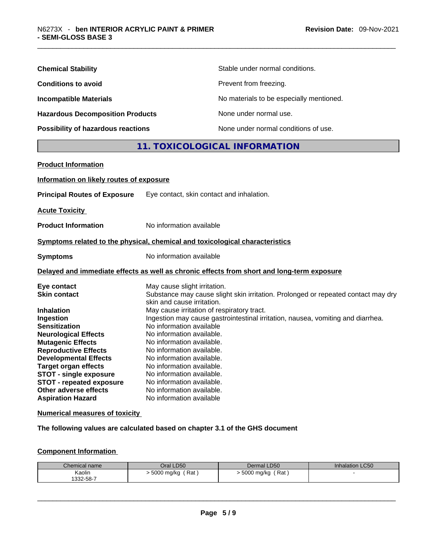| <b>Chemical Stability</b>               | Stable under normal conditions.          |
|-----------------------------------------|------------------------------------------|
| <b>Conditions to avoid</b>              | Prevent from freezing.                   |
| <b>Incompatible Materials</b>           | No materials to be especially mentioned. |
| <b>Hazardous Decomposition Products</b> | None under normal use.                   |
| Possibility of hazardous reactions      | None under normal conditions of use.     |

# **11. TOXICOLOGICAL INFORMATION**

| <b>Product Information</b>                                                                                                                                                                                                                                                                                                                                |                                                                                                                                                                                                                                                                                                                                                                                                                                                                                                                                                      |
|-----------------------------------------------------------------------------------------------------------------------------------------------------------------------------------------------------------------------------------------------------------------------------------------------------------------------------------------------------------|------------------------------------------------------------------------------------------------------------------------------------------------------------------------------------------------------------------------------------------------------------------------------------------------------------------------------------------------------------------------------------------------------------------------------------------------------------------------------------------------------------------------------------------------------|
| Information on likely routes of exposure                                                                                                                                                                                                                                                                                                                  |                                                                                                                                                                                                                                                                                                                                                                                                                                                                                                                                                      |
| <b>Principal Routes of Exposure</b>                                                                                                                                                                                                                                                                                                                       | Eye contact, skin contact and inhalation.                                                                                                                                                                                                                                                                                                                                                                                                                                                                                                            |
| <b>Acute Toxicity</b>                                                                                                                                                                                                                                                                                                                                     |                                                                                                                                                                                                                                                                                                                                                                                                                                                                                                                                                      |
| <b>Product Information</b>                                                                                                                                                                                                                                                                                                                                | No information available                                                                                                                                                                                                                                                                                                                                                                                                                                                                                                                             |
|                                                                                                                                                                                                                                                                                                                                                           | Symptoms related to the physical, chemical and toxicological characteristics                                                                                                                                                                                                                                                                                                                                                                                                                                                                         |
| <b>Symptoms</b>                                                                                                                                                                                                                                                                                                                                           | No information available                                                                                                                                                                                                                                                                                                                                                                                                                                                                                                                             |
|                                                                                                                                                                                                                                                                                                                                                           | Delayed and immediate effects as well as chronic effects from short and long-term exposure                                                                                                                                                                                                                                                                                                                                                                                                                                                           |
| Eye contact<br><b>Skin contact</b><br><b>Inhalation</b><br>Ingestion<br><b>Sensitization</b><br><b>Neurological Effects</b><br><b>Mutagenic Effects</b><br><b>Reproductive Effects</b><br><b>Developmental Effects</b><br><b>Target organ effects</b><br><b>STOT - single exposure</b><br><b>STOT - repeated exposure</b><br><b>Other adverse effects</b> | May cause slight irritation.<br>Substance may cause slight skin irritation. Prolonged or repeated contact may dry<br>skin and cause irritation.<br>May cause irritation of respiratory tract.<br>Ingestion may cause gastrointestinal irritation, nausea, vomiting and diarrhea.<br>No information available<br>No information available.<br>No information available.<br>No information available.<br>No information available.<br>No information available.<br>No information available.<br>No information available.<br>No information available. |

#### **Numerical measures of toxicity**

**The following values are calculated based on chapter 3.1 of the GHS document**

#### **Component Information**

| Chemical name | Oral LD50         | Dermal LD50         | <b>Inhalation LC50</b> |
|---------------|-------------------|---------------------|------------------------|
| Kaolin        | Rat<br>5000 mg/kg | Rat<br>⋅ 5000 mg/kg |                        |
| 1332-58-7     |                   |                     |                        |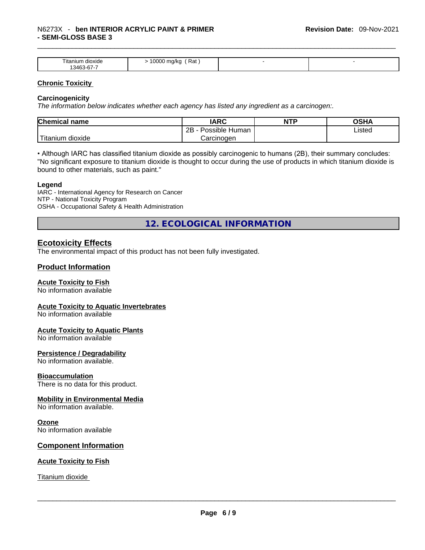| $- \cdot$ .<br>⊺ıtanıum<br>dioxide<br>$\sqrt{2}$<br>34 I<br>- וס-כ<br>. | Rat<br>0000<br>ma/ka<br>$\cdot$ $\cdot$ |  |
|-------------------------------------------------------------------------|-----------------------------------------|--|

#### **Chronic Toxicity**

#### **Carcinogenicity**

*The information below indicates whether each agency has listed any ingredient as a carcinogen:.* 

| <b>Chemical name</b>  | IARC                 | <b>NTP</b> | OSHA   |
|-----------------------|----------------------|------------|--------|
|                       | 2B<br>Possible Human |            | Listed |
| Titanium J<br>dioxide | Carcinogen           |            |        |

• Although IARC has classified titanium dioxide as possibly carcinogenic to humans (2B), their summary concludes: "No significant exposure to titanium dioxide is thought to occur during the use of products in which titanium dioxide is bound to other materials, such as paint."

#### **Legend**

IARC - International Agency for Research on Cancer NTP - National Toxicity Program OSHA - Occupational Safety & Health Administration

**12. ECOLOGICAL INFORMATION** 

## **Ecotoxicity Effects**

The environmental impact of this product has not been fully investigated.

### **Product Information**

#### **Acute Toxicity to Fish**

No information available

#### **Acute Toxicity to Aquatic Invertebrates**

No information available

#### **Acute Toxicity to Aquatic Plants**

No information available

#### **Persistence / Degradability**

No information available.

#### **Bioaccumulation**

There is no data for this product.

#### **Mobility in Environmental Media**

No information available.

#### **Ozone**

No information available

#### **Component Information**

#### **Acute Toxicity to Fish**

Titanium dioxide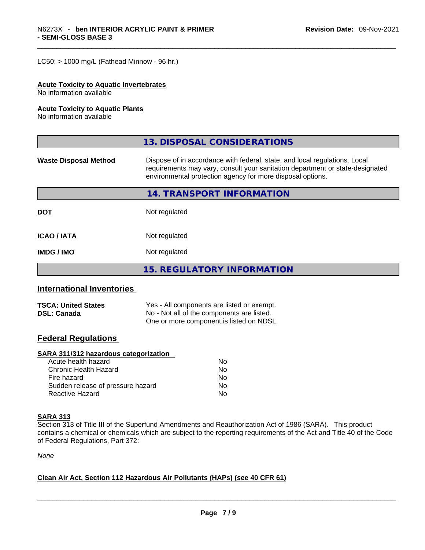$LC50:$  > 1000 mg/L (Fathead Minnow - 96 hr.)

#### **Acute Toxicity to Aquatic Invertebrates**

No information available

#### **Acute Toxicity to Aquatic Plants**

No information available

|                              | 13. DISPOSAL CONSIDERATIONS                                                                                                                                                                                               |  |
|------------------------------|---------------------------------------------------------------------------------------------------------------------------------------------------------------------------------------------------------------------------|--|
| <b>Waste Disposal Method</b> | Dispose of in accordance with federal, state, and local regulations. Local<br>requirements may vary, consult your sanitation department or state-designated<br>environmental protection agency for more disposal options. |  |
|                              | 14. TRANSPORT INFORMATION                                                                                                                                                                                                 |  |
| <b>DOT</b>                   | Not regulated                                                                                                                                                                                                             |  |
| <b>ICAO/IATA</b>             | Not regulated                                                                                                                                                                                                             |  |
| <b>IMDG/IMO</b>              | Not regulated                                                                                                                                                                                                             |  |
|                              | 15. REGULATORY INFORMATION                                                                                                                                                                                                |  |

### **International Inventories**

| <b>TSCA: United States</b> | Yes - All components are listed or exempt. |
|----------------------------|--------------------------------------------|
| <b>DSL: Canada</b>         | No - Not all of the components are listed. |
|                            | One or more component is listed on NDSL.   |

### **Federal Regulations**

#### **SARA 311/312 hazardous categorization**

| Acute health hazard               | No |
|-----------------------------------|----|
| Chronic Health Hazard             | No |
| Fire hazard                       | N٥ |
| Sudden release of pressure hazard | Nο |
| Reactive Hazard                   | N٥ |

#### **SARA 313**

Section 313 of Title III of the Superfund Amendments and Reauthorization Act of 1986 (SARA). This product contains a chemical or chemicals which are subject to the reporting requirements of the Act and Title 40 of the Code of Federal Regulations, Part 372:

*None*

### **Clean Air Act,Section 112 Hazardous Air Pollutants (HAPs) (see 40 CFR 61)**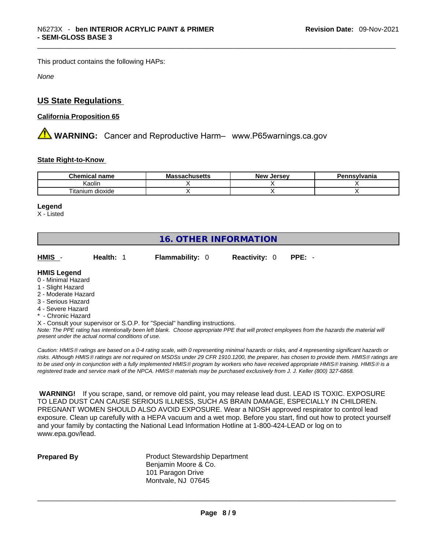This product contains the following HAPs:

*None*

# **US State Regulations**

## **California Proposition 65**

 **WARNING:** Cancer and Reproductive Harm– www.P65warnings.ca.gov

#### **State Right-to-Know**

| Chemical<br>name              | M.<br>eeachuea <del>lt</del> e<br>. | New<br>Jersev | Dan<br>าnsvlvania |
|-------------------------------|-------------------------------------|---------------|-------------------|
| .<br>Kaolin                   |                                     |               |                   |
| $- - -$<br>dioxide<br>itanium |                                     |               |                   |

#### **Legend**

X - Listed

# **16. OTHER INFORMATION**

| HMIS - | <b>Health:</b> 1 | <b>Flammability: 0</b> | <b>Reactivity: 0 PPE: -</b> |  |
|--------|------------------|------------------------|-----------------------------|--|
|        |                  |                        |                             |  |

# **HMIS Legend**

- 0 Minimal Hazard
- 1 Slight Hazard
- 2 Moderate Hazard
- 3 Serious Hazard
- 4 Severe Hazard
- Chronic Hazard
- X Consult your supervisor or S.O.P. for "Special" handling instructions.

Note: The PPE rating has intentionally been left blank. Choose appropriate PPE that will protect employees from the hazards the material will *present under the actual normal conditions of use.* 

*Caution: HMISÒ ratings are based on a 0-4 rating scale, with 0 representing minimal hazards or risks, and 4 representing significant hazards or risks. Although HMISÒ ratings are not required on MSDSs under 29 CFR 1910.1200, the preparer, has chosen to provide them. HMISÒ ratings are to be used only in conjunction with a fully implemented HMISÒ program by workers who have received appropriate HMISÒ training. HMISÒ is a registered trade and service mark of the NPCA. HMISÒ materials may be purchased exclusively from J. J. Keller (800) 327-6868.* 

 **WARNING!** If you scrape, sand, or remove old paint, you may release lead dust. LEAD IS TOXIC. EXPOSURE TO LEAD DUST CAN CAUSE SERIOUS ILLNESS, SUCH AS BRAIN DAMAGE, ESPECIALLY IN CHILDREN. PREGNANT WOMEN SHOULD ALSO AVOID EXPOSURE.Wear a NIOSH approved respirator to control lead exposure. Clean up carefully with a HEPA vacuum and a wet mop. Before you start, find out how to protect yourself and your family by contacting the National Lead Information Hotline at 1-800-424-LEAD or log on to www.epa.gov/lead.

**Prepared By Product Stewardship Department** Benjamin Moore & Co. 101 Paragon Drive Montvale, NJ 07645